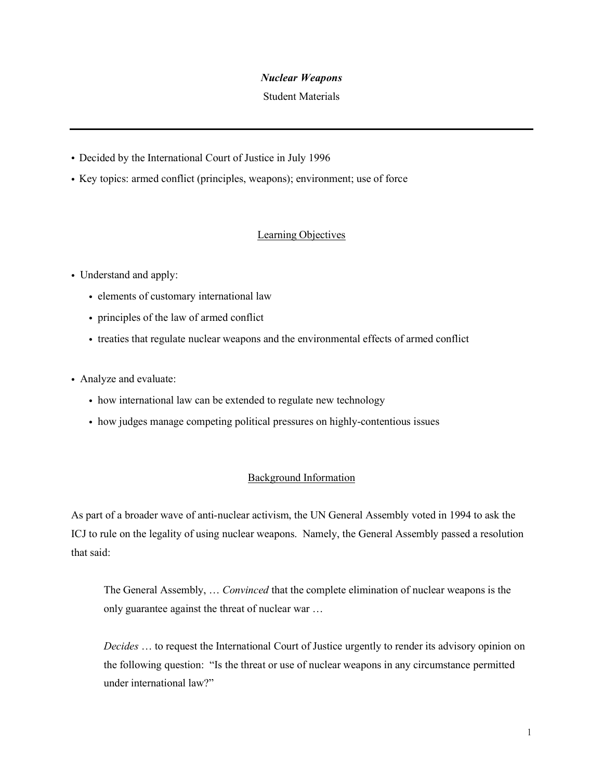### *Nuclear Weapons*

#### Student Materials

- ! Decided by the International Court of Justice in July 1996
- ! Key topics: armed conflict (principles, weapons); environment; use of force

# Learning Objectives

### • Understand and apply:

- ! elements of customary international law
- ! principles of the law of armed conflict
- ! treaties that regulate nuclear weapons and the environmental effects of armed conflict
- ! Analyze and evaluate:
	- ! how international law can be extended to regulate new technology
	- ! how judges manage competing political pressures on highly-contentious issues

## Background Information

As part of a broader wave of anti-nuclear activism, the UN General Assembly voted in 1994 to ask the ICJ to rule on the legality of using nuclear weapons. Namely, the General Assembly passed a resolution that said:

The General Assembly, … *Convinced* that the complete elimination of nuclear weapons is the only guarantee against the threat of nuclear war …

*Decides* … to request the International Court of Justice urgently to render its advisory opinion on the following question: "Is the threat or use of nuclear weapons in any circumstance permitted under international law?"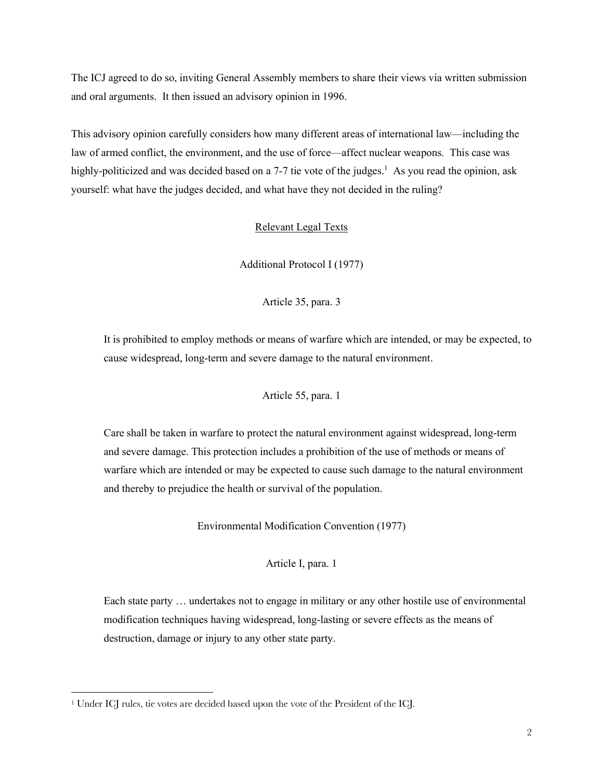The ICJ agreed to do so, inviting General Assembly members to share their views via written submission and oral arguments. It then issued an advisory opinion in 1996.

This advisory opinion carefully considers how many different areas of international law—including the law of armed conflict, the environment, and the use of force—affect nuclear weapons. This case was highly-politicized and was decided based on a 7-7 tie vote of the judges.<sup>1</sup> As you read the opinion, ask yourself: what have the judges decided, and what have they not decided in the ruling?

## Relevant Legal Texts

Additional Protocol I (1977)

Article 35, para. 3

It is prohibited to employ methods or means of warfare which are intended, or may be expected, to cause widespread, long-term and severe damage to the natural environment.

Article 55, para. 1

Care shall be taken in warfare to protect the natural environment against widespread, long-term and severe damage. This protection includes a prohibition of the use of methods or means of warfare which are intended or may be expected to cause such damage to the natural environment and thereby to prejudice the health or survival of the population.

Environmental Modification Convention (1977)

Article I, para. 1

Each state party … undertakes not to engage in military or any other hostile use of environmental modification techniques having widespread, long-lasting or severe effects as the means of destruction, damage or injury to any other state party.

<sup>&</sup>lt;sup>1</sup> Under ICJ rules, tie votes are decided based upon the vote of the President of the ICJ.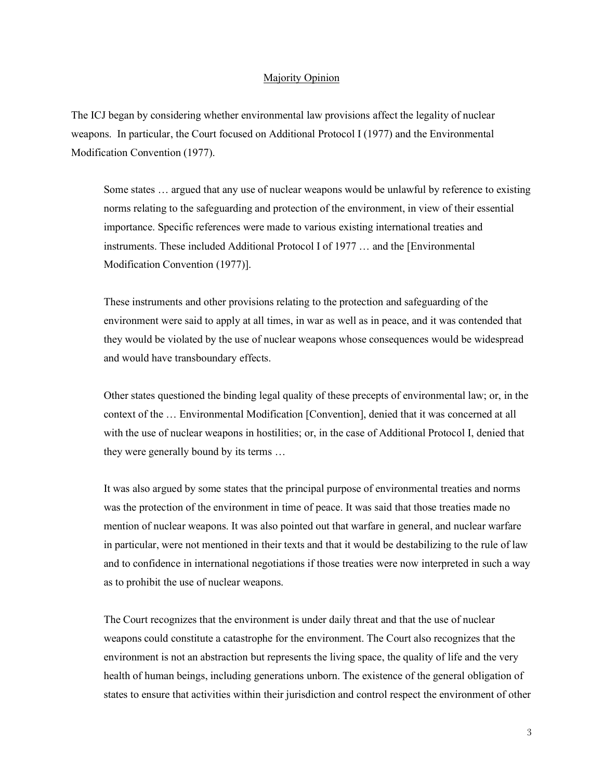### Majority Opinion

The ICJ began by considering whether environmental law provisions affect the legality of nuclear weapons. In particular, the Court focused on Additional Protocol I (1977) and the Environmental Modification Convention (1977).

Some states … argued that any use of nuclear weapons would be unlawful by reference to existing norms relating to the safeguarding and protection of the environment, in view of their essential importance. Specific references were made to various existing international treaties and instruments. These included Additional Protocol I of 1977 … and the [Environmental Modification Convention (1977)].

These instruments and other provisions relating to the protection and safeguarding of the environment were said to apply at all times, in war as well as in peace, and it was contended that they would be violated by the use of nuclear weapons whose consequences would be widespread and would have transboundary effects.

Other states questioned the binding legal quality of these precepts of environmental law; or, in the context of the … Environmental Modification [Convention], denied that it was concerned at all with the use of nuclear weapons in hostilities; or, in the case of Additional Protocol I, denied that they were generally bound by its terms …

It was also argued by some states that the principal purpose of environmental treaties and norms was the protection of the environment in time of peace. It was said that those treaties made no mention of nuclear weapons. It was also pointed out that warfare in general, and nuclear warfare in particular, were not mentioned in their texts and that it would be destabilizing to the rule of law and to confidence in international negotiations if those treaties were now interpreted in such a way as to prohibit the use of nuclear weapons.

The Court recognizes that the environment is under daily threat and that the use of nuclear weapons could constitute a catastrophe for the environment. The Court also recognizes that the environment is not an abstraction but represents the living space, the quality of life and the very health of human beings, including generations unborn. The existence of the general obligation of states to ensure that activities within their jurisdiction and control respect the environment of other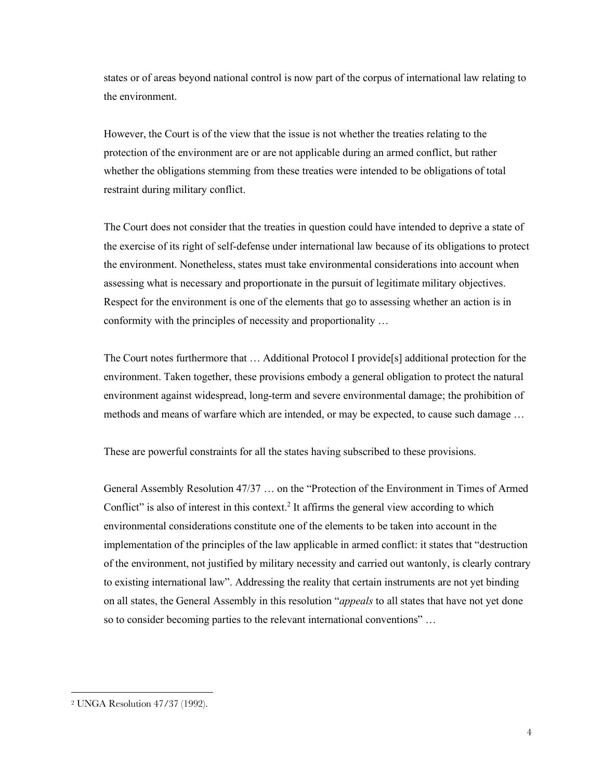states or of areas beyond national control is now part of the corpus of international law relating to the environment.

However, the Court is of the view that the issue is not whether the treaties relating to the protection of the environment are or are not applicable during an armed conflict, but rather whether the obligations stemming from these treaties were intended to be obligations of total restraint during military conflict.

The Court does not consider that the treaties in question could have intended to deprive a state of the exercise of its right of self-defense under international law because of its obligations to protect the environment. Nonetheless, states must take environmental considerations into account when assessing what is necessary and proportionate in the pursuit of legitimate military objectives. Respect for the environment is one of the elements that go to assessing whether an action is in conformity with the principles of necessity and proportionality …

The Court notes furthermore that … Additional Protocol I provide[s] additional protection for the environment. Taken together, these provisions embody a general obligation to protect the natural environment against widespread, long-term and severe environmental damage; the prohibition of methods and means of warfare which are intended, or may be expected, to cause such damage …

These are powerful constraints for all the states having subscribed to these provisions.

General Assembly Resolution 47/37 … on the "Protection of the Environment in Times of Armed Conflict" is also of interest in this context.<sup>2</sup> It affirms the general view according to which environmental considerations constitute one of the elements to be taken into account in the implementation of the principles of the law applicable in armed conflict: it states that "destruction of the environment, not justified by military necessity and carried out wantonly, is clearly contrary to existing international law". Addressing the reality that certain instruments are not yet binding on all states, the General Assembly in this resolution "*appeals* to all states that have not yet done so to consider becoming parties to the relevant international conventions" …

<sup>2</sup> UNGA Resolution 47/37 (1992).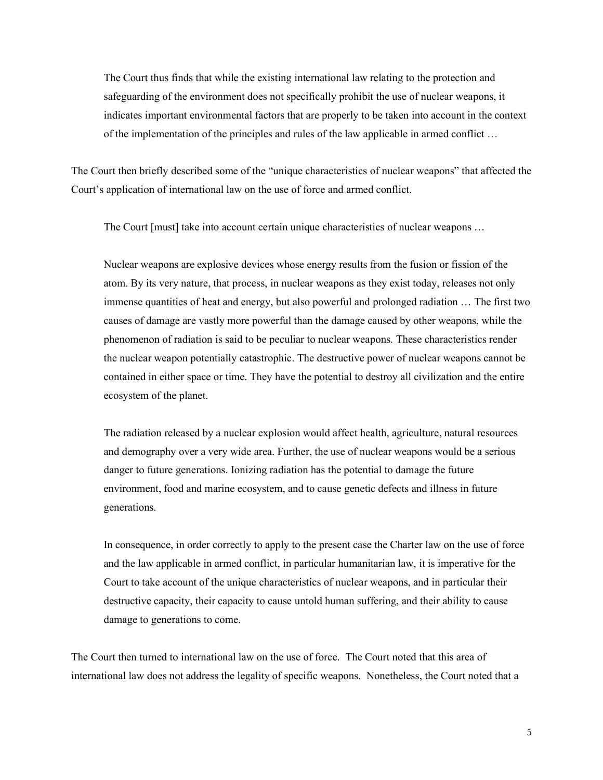The Court thus finds that while the existing international law relating to the protection and safeguarding of the environment does not specifically prohibit the use of nuclear weapons, it indicates important environmental factors that are properly to be taken into account in the context of the implementation of the principles and rules of the law applicable in armed conflict …

The Court then briefly described some of the "unique characteristics of nuclear weapons" that affected the Court's application of international law on the use of force and armed conflict.

The Court [must] take into account certain unique characteristics of nuclear weapons ...

Nuclear weapons are explosive devices whose energy results from the fusion or fission of the atom. By its very nature, that process, in nuclear weapons as they exist today, releases not only immense quantities of heat and energy, but also powerful and prolonged radiation … The first two causes of damage are vastly more powerful than the damage caused by other weapons, while the phenomenon of radiation is said to be peculiar to nuclear weapons. These characteristics render the nuclear weapon potentially catastrophic. The destructive power of nuclear weapons cannot be contained in either space or time. They have the potential to destroy all civilization and the entire ecosystem of the planet.

The radiation released by a nuclear explosion would affect health, agriculture, natural resources and demography over a very wide area. Further, the use of nuclear weapons would be a serious danger to future generations. Ionizing radiation has the potential to damage the future environment, food and marine ecosystem, and to cause genetic defects and illness in future generations.

In consequence, in order correctly to apply to the present case the Charter law on the use of force and the law applicable in armed conflict, in particular humanitarian law, it is imperative for the Court to take account of the unique characteristics of nuclear weapons, and in particular their destructive capacity, their capacity to cause untold human suffering, and their ability to cause damage to generations to come.

The Court then turned to international law on the use of force. The Court noted that this area of international law does not address the legality of specific weapons. Nonetheless, the Court noted that a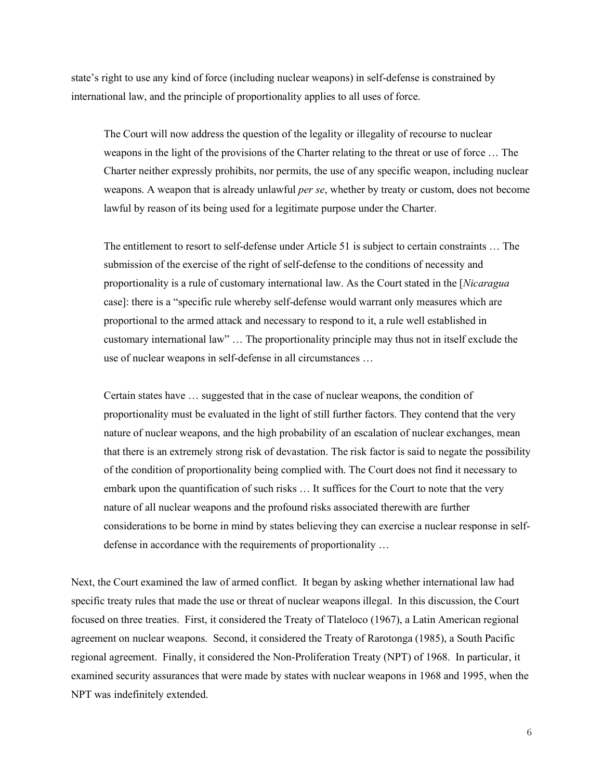state's right to use any kind of force (including nuclear weapons) in self-defense is constrained by international law, and the principle of proportionality applies to all uses of force.

The Court will now address the question of the legality or illegality of recourse to nuclear weapons in the light of the provisions of the Charter relating to the threat or use of force … The Charter neither expressly prohibits, nor permits, the use of any specific weapon, including nuclear weapons. A weapon that is already unlawful *per se*, whether by treaty or custom, does not become lawful by reason of its being used for a legitimate purpose under the Charter.

The entitlement to resort to self-defense under Article 51 is subject to certain constraints … The submission of the exercise of the right of self-defense to the conditions of necessity and proportionality is a rule of customary international law. As the Court stated in the [*Nicaragua* case]: there is a "specific rule whereby self-defense would warrant only measures which are proportional to the armed attack and necessary to respond to it, a rule well established in customary international law" … The proportionality principle may thus not in itself exclude the use of nuclear weapons in self-defense in all circumstances …

Certain states have … suggested that in the case of nuclear weapons, the condition of proportionality must be evaluated in the light of still further factors. They contend that the very nature of nuclear weapons, and the high probability of an escalation of nuclear exchanges, mean that there is an extremely strong risk of devastation. The risk factor is said to negate the possibility of the condition of proportionality being complied with. The Court does not find it necessary to embark upon the quantification of such risks … It suffices for the Court to note that the very nature of all nuclear weapons and the profound risks associated therewith are further considerations to be borne in mind by states believing they can exercise a nuclear response in selfdefense in accordance with the requirements of proportionality …

Next, the Court examined the law of armed conflict. It began by asking whether international law had specific treaty rules that made the use or threat of nuclear weapons illegal. In this discussion, the Court focused on three treaties. First, it considered the Treaty of Tlateloco (1967), a Latin American regional agreement on nuclear weapons. Second, it considered the Treaty of Rarotonga (1985), a South Pacific regional agreement. Finally, it considered the Non-Proliferation Treaty (NPT) of 1968. In particular, it examined security assurances that were made by states with nuclear weapons in 1968 and 1995, when the NPT was indefinitely extended.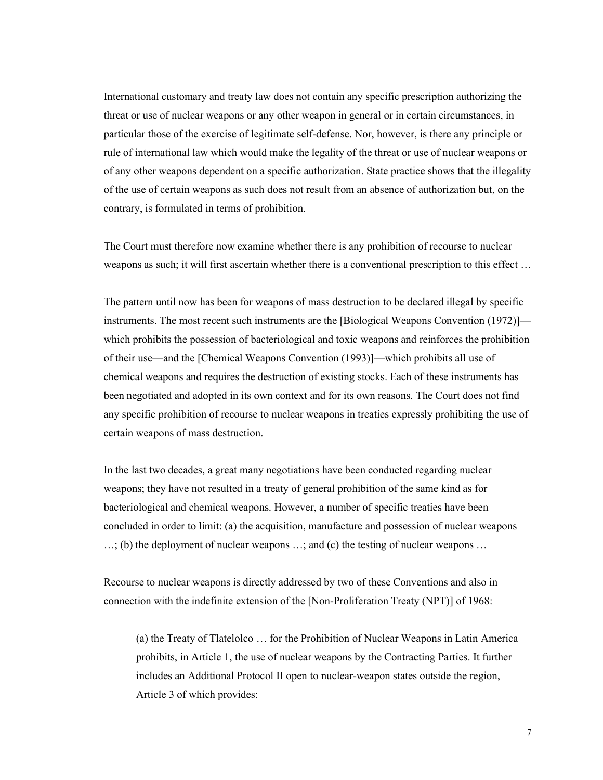International customary and treaty law does not contain any specific prescription authorizing the threat or use of nuclear weapons or any other weapon in general or in certain circumstances, in particular those of the exercise of legitimate self-defense. Nor, however, is there any principle or rule of international law which would make the legality of the threat or use of nuclear weapons or of any other weapons dependent on a specific authorization. State practice shows that the illegality of the use of certain weapons as such does not result from an absence of authorization but, on the contrary, is formulated in terms of prohibition.

The Court must therefore now examine whether there is any prohibition of recourse to nuclear weapons as such; it will first ascertain whether there is a conventional prescription to this effect …

The pattern until now has been for weapons of mass destruction to be declared illegal by specific instruments. The most recent such instruments are the [Biological Weapons Convention (1972)] which prohibits the possession of bacteriological and toxic weapons and reinforces the prohibition of their use—and the [Chemical Weapons Convention (1993)]—which prohibits all use of chemical weapons and requires the destruction of existing stocks. Each of these instruments has been negotiated and adopted in its own context and for its own reasons. The Court does not find any specific prohibition of recourse to nuclear weapons in treaties expressly prohibiting the use of certain weapons of mass destruction.

In the last two decades, a great many negotiations have been conducted regarding nuclear weapons; they have not resulted in a treaty of general prohibition of the same kind as for bacteriological and chemical weapons. However, a number of specific treaties have been concluded in order to limit: (a) the acquisition, manufacture and possession of nuclear weapons  $\ldots$ ; (b) the deployment of nuclear weapons  $\ldots$ ; and (c) the testing of nuclear weapons  $\ldots$ 

Recourse to nuclear weapons is directly addressed by two of these Conventions and also in connection with the indefinite extension of the [Non-Proliferation Treaty (NPT)] of 1968:

(a) the Treaty of Tlatelolco … for the Prohibition of Nuclear Weapons in Latin America prohibits, in Article 1, the use of nuclear weapons by the Contracting Parties. It further includes an Additional Protocol II open to nuclear-weapon states outside the region, Article 3 of which provides: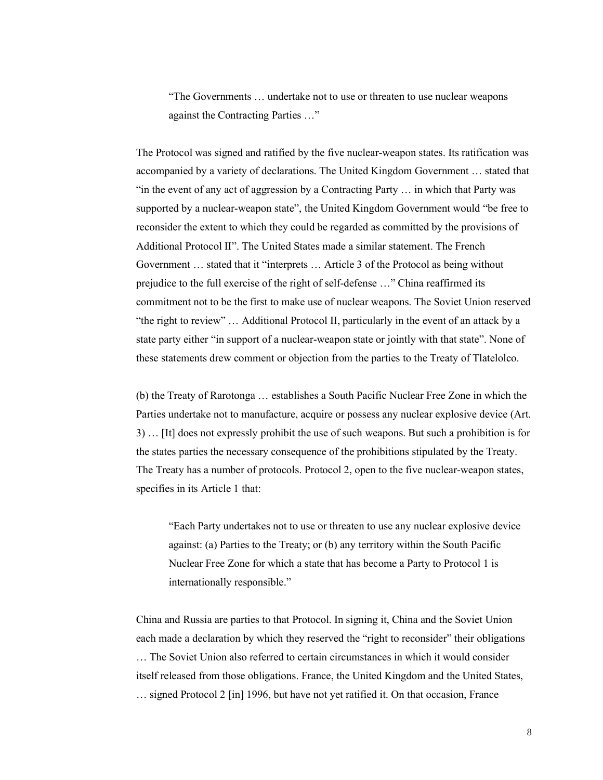"The Governments … undertake not to use or threaten to use nuclear weapons against the Contracting Parties …"

The Protocol was signed and ratified by the five nuclear-weapon states. Its ratification was accompanied by a variety of declarations. The United Kingdom Government … stated that "in the event of any act of aggression by a Contracting Party … in which that Party was supported by a nuclear-weapon state", the United Kingdom Government would "be free to reconsider the extent to which they could be regarded as committed by the provisions of Additional Protocol II". The United States made a similar statement. The French Government … stated that it "interprets … Article 3 of the Protocol as being without prejudice to the full exercise of the right of self-defense …" China reaffirmed its commitment not to be the first to make use of nuclear weapons. The Soviet Union reserved "the right to review" … Additional Protocol II, particularly in the event of an attack by a state party either "in support of a nuclear-weapon state or jointly with that state". None of these statements drew comment or objection from the parties to the Treaty of Tlatelolco.

(b) the Treaty of Rarotonga … establishes a South Pacific Nuclear Free Zone in which the Parties undertake not to manufacture, acquire or possess any nuclear explosive device (Art. 3) … [It] does not expressly prohibit the use of such weapons. But such a prohibition is for the states parties the necessary consequence of the prohibitions stipulated by the Treaty. The Treaty has a number of protocols. Protocol 2, open to the five nuclear-weapon states, specifies in its Article 1 that:

"Each Party undertakes not to use or threaten to use any nuclear explosive device against: (a) Parties to the Treaty; or (b) any territory within the South Pacific Nuclear Free Zone for which a state that has become a Party to Protocol 1 is internationally responsible."

China and Russia are parties to that Protocol. In signing it, China and the Soviet Union each made a declaration by which they reserved the "right to reconsider" their obligations … The Soviet Union also referred to certain circumstances in which it would consider itself released from those obligations. France, the United Kingdom and the United States, … signed Protocol 2 [in] 1996, but have not yet ratified it. On that occasion, France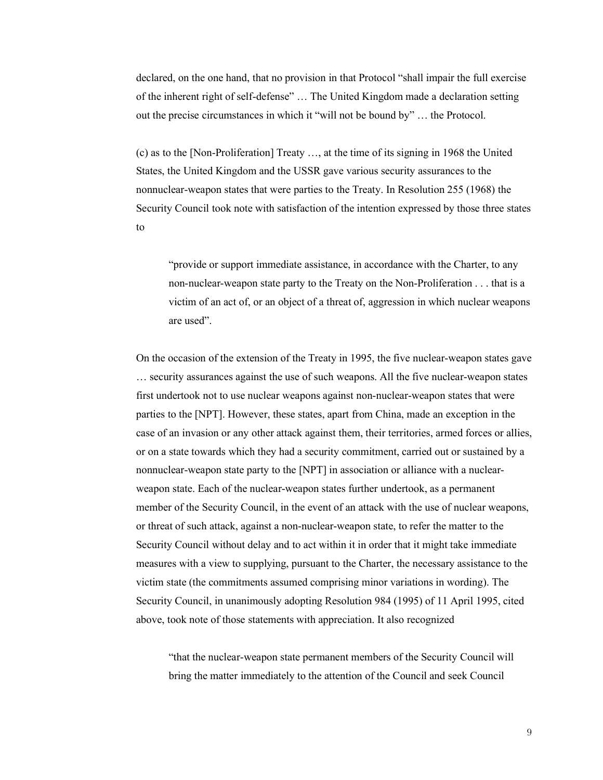declared, on the one hand, that no provision in that Protocol "shall impair the full exercise of the inherent right of self-defense" … The United Kingdom made a declaration setting out the precise circumstances in which it "will not be bound by" … the Protocol.

(c) as to the [Non-Proliferation] Treaty …, at the time of its signing in 1968 the United States, the United Kingdom and the USSR gave various security assurances to the nonnuclear-weapon states that were parties to the Treaty. In Resolution 255 (1968) the Security Council took note with satisfaction of the intention expressed by those three states to

"provide or support immediate assistance, in accordance with the Charter, to any non-nuclear-weapon state party to the Treaty on the Non-Proliferation . . . that is a victim of an act of, or an object of a threat of, aggression in which nuclear weapons are used".

On the occasion of the extension of the Treaty in 1995, the five nuclear-weapon states gave … security assurances against the use of such weapons. All the five nuclear-weapon states first undertook not to use nuclear weapons against non-nuclear-weapon states that were parties to the [NPT]. However, these states, apart from China, made an exception in the case of an invasion or any other attack against them, their territories, armed forces or allies, or on a state towards which they had a security commitment, carried out or sustained by a nonnuclear-weapon state party to the [NPT] in association or alliance with a nuclearweapon state. Each of the nuclear-weapon states further undertook, as a permanent member of the Security Council, in the event of an attack with the use of nuclear weapons, or threat of such attack, against a non-nuclear-weapon state, to refer the matter to the Security Council without delay and to act within it in order that it might take immediate measures with a view to supplying, pursuant to the Charter, the necessary assistance to the victim state (the commitments assumed comprising minor variations in wording). The Security Council, in unanimously adopting Resolution 984 (1995) of 11 April 1995, cited above, took note of those statements with appreciation. It also recognized

"that the nuclear-weapon state permanent members of the Security Council will bring the matter immediately to the attention of the Council and seek Council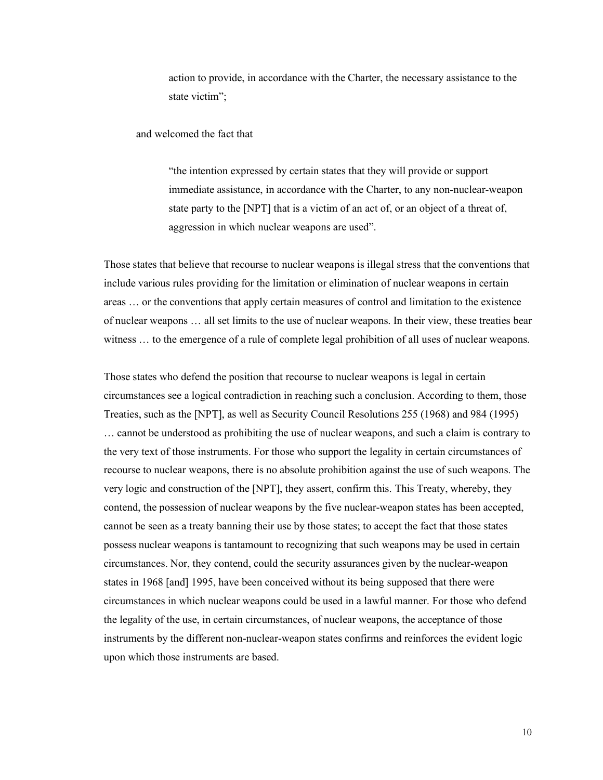action to provide, in accordance with the Charter, the necessary assistance to the state victim";

and welcomed the fact that

"the intention expressed by certain states that they will provide or support immediate assistance, in accordance with the Charter, to any non-nuclear-weapon state party to the [NPT] that is a victim of an act of, or an object of a threat of, aggression in which nuclear weapons are used".

Those states that believe that recourse to nuclear weapons is illegal stress that the conventions that include various rules providing for the limitation or elimination of nuclear weapons in certain areas … or the conventions that apply certain measures of control and limitation to the existence of nuclear weapons … all set limits to the use of nuclear weapons. In their view, these treaties bear witness ... to the emergence of a rule of complete legal prohibition of all uses of nuclear weapons.

Those states who defend the position that recourse to nuclear weapons is legal in certain circumstances see a logical contradiction in reaching such a conclusion. According to them, those Treaties, such as the [NPT], as well as Security Council Resolutions 255 (1968) and 984 (1995) … cannot be understood as prohibiting the use of nuclear weapons, and such a claim is contrary to the very text of those instruments. For those who support the legality in certain circumstances of recourse to nuclear weapons, there is no absolute prohibition against the use of such weapons. The very logic and construction of the [NPT], they assert, confirm this. This Treaty, whereby, they contend, the possession of nuclear weapons by the five nuclear-weapon states has been accepted, cannot be seen as a treaty banning their use by those states; to accept the fact that those states possess nuclear weapons is tantamount to recognizing that such weapons may be used in certain circumstances. Nor, they contend, could the security assurances given by the nuclear-weapon states in 1968 [and] 1995, have been conceived without its being supposed that there were circumstances in which nuclear weapons could be used in a lawful manner. For those who defend the legality of the use, in certain circumstances, of nuclear weapons, the acceptance of those instruments by the different non-nuclear-weapon states confirms and reinforces the evident logic upon which those instruments are based.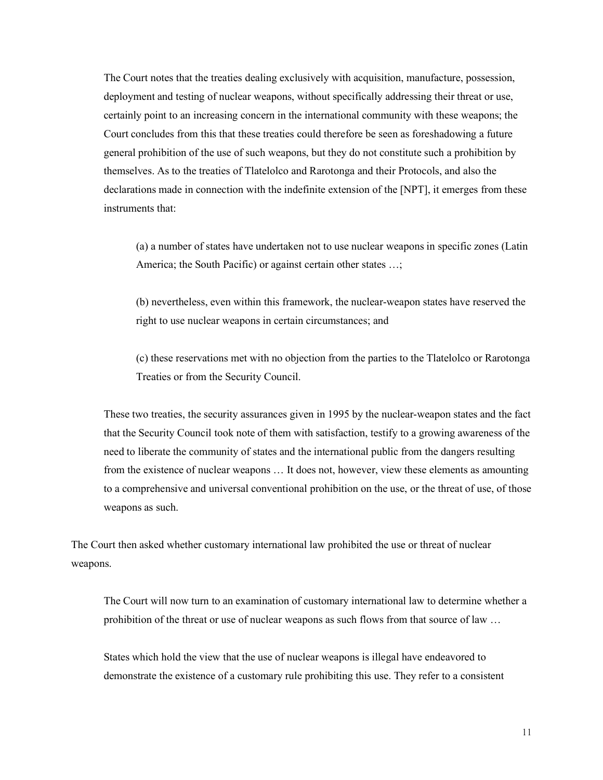The Court notes that the treaties dealing exclusively with acquisition, manufacture, possession, deployment and testing of nuclear weapons, without specifically addressing their threat or use, certainly point to an increasing concern in the international community with these weapons; the Court concludes from this that these treaties could therefore be seen as foreshadowing a future general prohibition of the use of such weapons, but they do not constitute such a prohibition by themselves. As to the treaties of Tlatelolco and Rarotonga and their Protocols, and also the declarations made in connection with the indefinite extension of the [NPT], it emerges from these instruments that:

(a) a number of states have undertaken not to use nuclear weapons in specific zones (Latin America; the South Pacific) or against certain other states ...;

(b) nevertheless, even within this framework, the nuclear-weapon states have reserved the right to use nuclear weapons in certain circumstances; and

(c) these reservations met with no objection from the parties to the Tlatelolco or Rarotonga Treaties or from the Security Council.

These two treaties, the security assurances given in 1995 by the nuclear-weapon states and the fact that the Security Council took note of them with satisfaction, testify to a growing awareness of the need to liberate the community of states and the international public from the dangers resulting from the existence of nuclear weapons … It does not, however, view these elements as amounting to a comprehensive and universal conventional prohibition on the use, or the threat of use, of those weapons as such.

The Court then asked whether customary international law prohibited the use or threat of nuclear weapons.

The Court will now turn to an examination of customary international law to determine whether a prohibition of the threat or use of nuclear weapons as such flows from that source of law …

States which hold the view that the use of nuclear weapons is illegal have endeavored to demonstrate the existence of a customary rule prohibiting this use. They refer to a consistent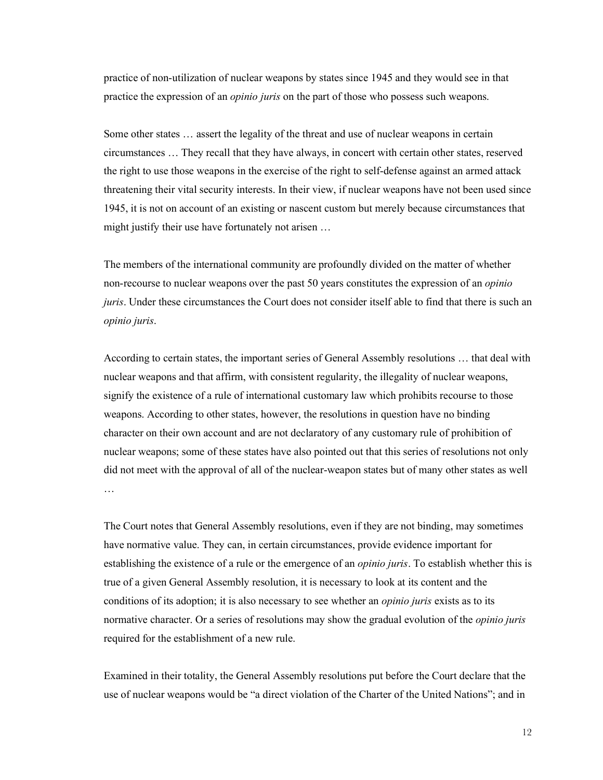practice of non-utilization of nuclear weapons by states since 1945 and they would see in that practice the expression of an *opinio juris* on the part of those who possess such weapons.

Some other states … assert the legality of the threat and use of nuclear weapons in certain circumstances … They recall that they have always, in concert with certain other states, reserved the right to use those weapons in the exercise of the right to self-defense against an armed attack threatening their vital security interests. In their view, if nuclear weapons have not been used since 1945, it is not on account of an existing or nascent custom but merely because circumstances that might justify their use have fortunately not arisen …

The members of the international community are profoundly divided on the matter of whether non-recourse to nuclear weapons over the past 50 years constitutes the expression of an *opinio juris*. Under these circumstances the Court does not consider itself able to find that there is such an *opinio juris*.

According to certain states, the important series of General Assembly resolutions … that deal with nuclear weapons and that affirm, with consistent regularity, the illegality of nuclear weapons, signify the existence of a rule of international customary law which prohibits recourse to those weapons. According to other states, however, the resolutions in question have no binding character on their own account and are not declaratory of any customary rule of prohibition of nuclear weapons; some of these states have also pointed out that this series of resolutions not only did not meet with the approval of all of the nuclear-weapon states but of many other states as well …

The Court notes that General Assembly resolutions, even if they are not binding, may sometimes have normative value. They can, in certain circumstances, provide evidence important for establishing the existence of a rule or the emergence of an *opinio juris*. To establish whether this is true of a given General Assembly resolution, it is necessary to look at its content and the conditions of its adoption; it is also necessary to see whether an *opinio juris* exists as to its normative character. Or a series of resolutions may show the gradual evolution of the *opinio juris* required for the establishment of a new rule.

Examined in their totality, the General Assembly resolutions put before the Court declare that the use of nuclear weapons would be "a direct violation of the Charter of the United Nations"; and in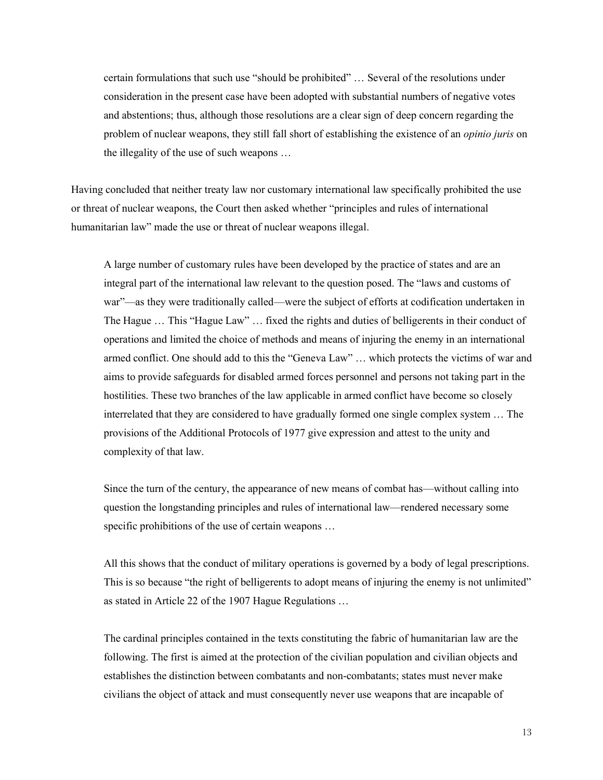certain formulations that such use "should be prohibited" … Several of the resolutions under consideration in the present case have been adopted with substantial numbers of negative votes and abstentions; thus, although those resolutions are a clear sign of deep concern regarding the problem of nuclear weapons, they still fall short of establishing the existence of an *opinio juris* on the illegality of the use of such weapons …

Having concluded that neither treaty law nor customary international law specifically prohibited the use or threat of nuclear weapons, the Court then asked whether "principles and rules of international humanitarian law" made the use or threat of nuclear weapons illegal.

A large number of customary rules have been developed by the practice of states and are an integral part of the international law relevant to the question posed. The "laws and customs of war"—as they were traditionally called—were the subject of efforts at codification undertaken in The Hague … This "Hague Law" … fixed the rights and duties of belligerents in their conduct of operations and limited the choice of methods and means of injuring the enemy in an international armed conflict. One should add to this the "Geneva Law" … which protects the victims of war and aims to provide safeguards for disabled armed forces personnel and persons not taking part in the hostilities. These two branches of the law applicable in armed conflict have become so closely interrelated that they are considered to have gradually formed one single complex system … The provisions of the Additional Protocols of 1977 give expression and attest to the unity and complexity of that law.

Since the turn of the century, the appearance of new means of combat has—without calling into question the longstanding principles and rules of international law—rendered necessary some specific prohibitions of the use of certain weapons ...

All this shows that the conduct of military operations is governed by a body of legal prescriptions. This is so because "the right of belligerents to adopt means of injuring the enemy is not unlimited" as stated in Article 22 of the 1907 Hague Regulations …

The cardinal principles contained in the texts constituting the fabric of humanitarian law are the following. The first is aimed at the protection of the civilian population and civilian objects and establishes the distinction between combatants and non-combatants; states must never make civilians the object of attack and must consequently never use weapons that are incapable of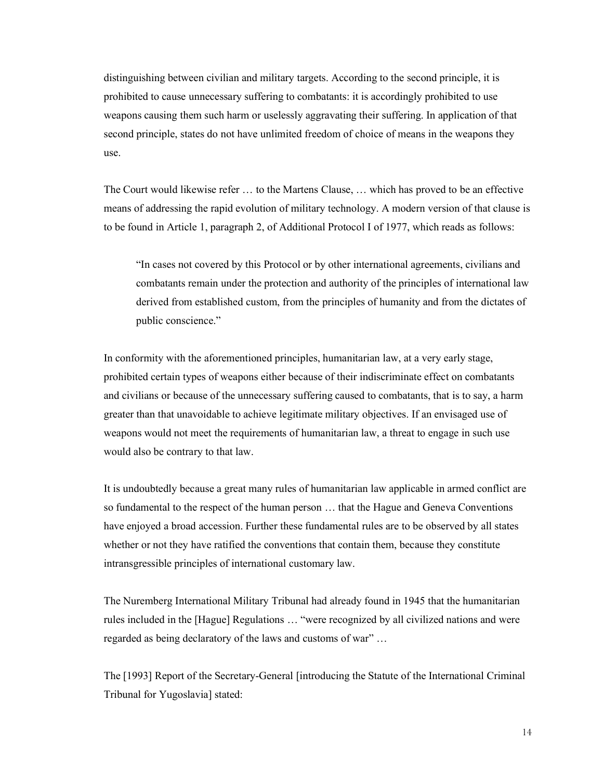distinguishing between civilian and military targets. According to the second principle, it is prohibited to cause unnecessary suffering to combatants: it is accordingly prohibited to use weapons causing them such harm or uselessly aggravating their suffering. In application of that second principle, states do not have unlimited freedom of choice of means in the weapons they use.

The Court would likewise refer … to the Martens Clause, … which has proved to be an effective means of addressing the rapid evolution of military technology. A modern version of that clause is to be found in Article 1, paragraph 2, of Additional Protocol I of 1977, which reads as follows:

"In cases not covered by this Protocol or by other international agreements, civilians and combatants remain under the protection and authority of the principles of international law derived from established custom, from the principles of humanity and from the dictates of public conscience."

In conformity with the aforementioned principles, humanitarian law, at a very early stage, prohibited certain types of weapons either because of their indiscriminate effect on combatants and civilians or because of the unnecessary suffering caused to combatants, that is to say, a harm greater than that unavoidable to achieve legitimate military objectives. If an envisaged use of weapons would not meet the requirements of humanitarian law, a threat to engage in such use would also be contrary to that law.

It is undoubtedly because a great many rules of humanitarian law applicable in armed conflict are so fundamental to the respect of the human person … that the Hague and Geneva Conventions have enjoyed a broad accession. Further these fundamental rules are to be observed by all states whether or not they have ratified the conventions that contain them, because they constitute intransgressible principles of international customary law.

The Nuremberg International Military Tribunal had already found in 1945 that the humanitarian rules included in the [Hague] Regulations … "were recognized by all civilized nations and were regarded as being declaratory of the laws and customs of war" …

The [1993] Report of the Secretary-General [introducing the Statute of the International Criminal Tribunal for Yugoslavia] stated: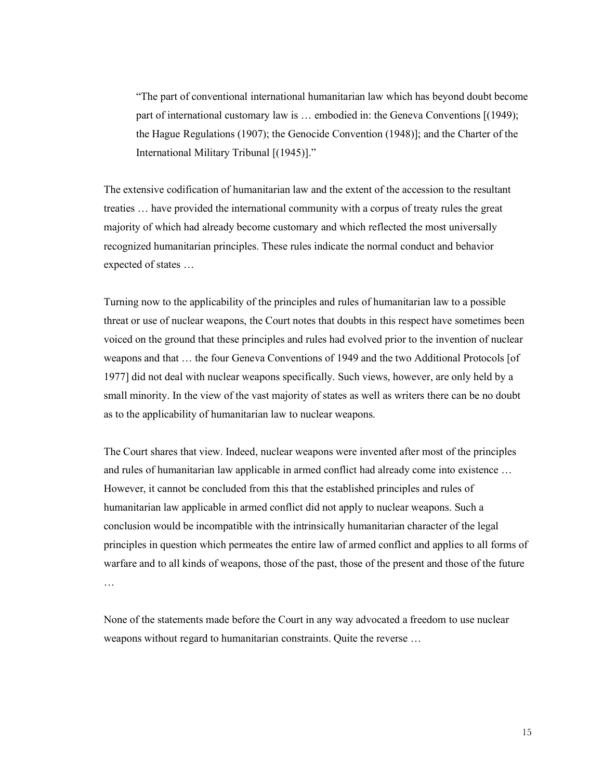"The part of conventional international humanitarian law which has beyond doubt become part of international customary law is … embodied in: the Geneva Conventions [(1949); the Hague Regulations (1907); the Genocide Convention (1948)]; and the Charter of the International Military Tribunal [(1945)]."

The extensive codification of humanitarian law and the extent of the accession to the resultant treaties … have provided the international community with a corpus of treaty rules the great majority of which had already become customary and which reflected the most universally recognized humanitarian principles. These rules indicate the normal conduct and behavior expected of states …

Turning now to the applicability of the principles and rules of humanitarian law to a possible threat or use of nuclear weapons, the Court notes that doubts in this respect have sometimes been voiced on the ground that these principles and rules had evolved prior to the invention of nuclear weapons and that … the four Geneva Conventions of 1949 and the two Additional Protocols [of 1977] did not deal with nuclear weapons specifically. Such views, however, are only held by a small minority. In the view of the vast majority of states as well as writers there can be no doubt as to the applicability of humanitarian law to nuclear weapons.

The Court shares that view. Indeed, nuclear weapons were invented after most of the principles and rules of humanitarian law applicable in armed conflict had already come into existence … However, it cannot be concluded from this that the established principles and rules of humanitarian law applicable in armed conflict did not apply to nuclear weapons. Such a conclusion would be incompatible with the intrinsically humanitarian character of the legal principles in question which permeates the entire law of armed conflict and applies to all forms of warfare and to all kinds of weapons, those of the past, those of the present and those of the future …

None of the statements made before the Court in any way advocated a freedom to use nuclear weapons without regard to humanitarian constraints. Quite the reverse …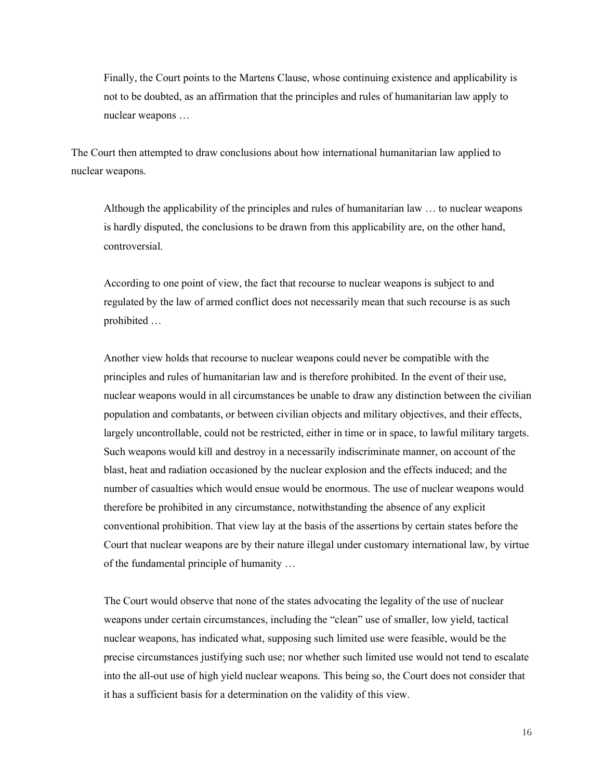Finally, the Court points to the Martens Clause, whose continuing existence and applicability is not to be doubted, as an affirmation that the principles and rules of humanitarian law apply to nuclear weapons …

The Court then attempted to draw conclusions about how international humanitarian law applied to nuclear weapons.

Although the applicability of the principles and rules of humanitarian law … to nuclear weapons is hardly disputed, the conclusions to be drawn from this applicability are, on the other hand, controversial.

According to one point of view, the fact that recourse to nuclear weapons is subject to and regulated by the law of armed conflict does not necessarily mean that such recourse is as such prohibited …

Another view holds that recourse to nuclear weapons could never be compatible with the principles and rules of humanitarian law and is therefore prohibited. In the event of their use, nuclear weapons would in all circumstances be unable to draw any distinction between the civilian population and combatants, or between civilian objects and military objectives, and their effects, largely uncontrollable, could not be restricted, either in time or in space, to lawful military targets. Such weapons would kill and destroy in a necessarily indiscriminate manner, on account of the blast, heat and radiation occasioned by the nuclear explosion and the effects induced; and the number of casualties which would ensue would be enormous. The use of nuclear weapons would therefore be prohibited in any circumstance, notwithstanding the absence of any explicit conventional prohibition. That view lay at the basis of the assertions by certain states before the Court that nuclear weapons are by their nature illegal under customary international law, by virtue of the fundamental principle of humanity …

The Court would observe that none of the states advocating the legality of the use of nuclear weapons under certain circumstances, including the "clean" use of smaller, low yield, tactical nuclear weapons, has indicated what, supposing such limited use were feasible, would be the precise circumstances justifying such use; nor whether such limited use would not tend to escalate into the all-out use of high yield nuclear weapons. This being so, the Court does not consider that it has a sufficient basis for a determination on the validity of this view.